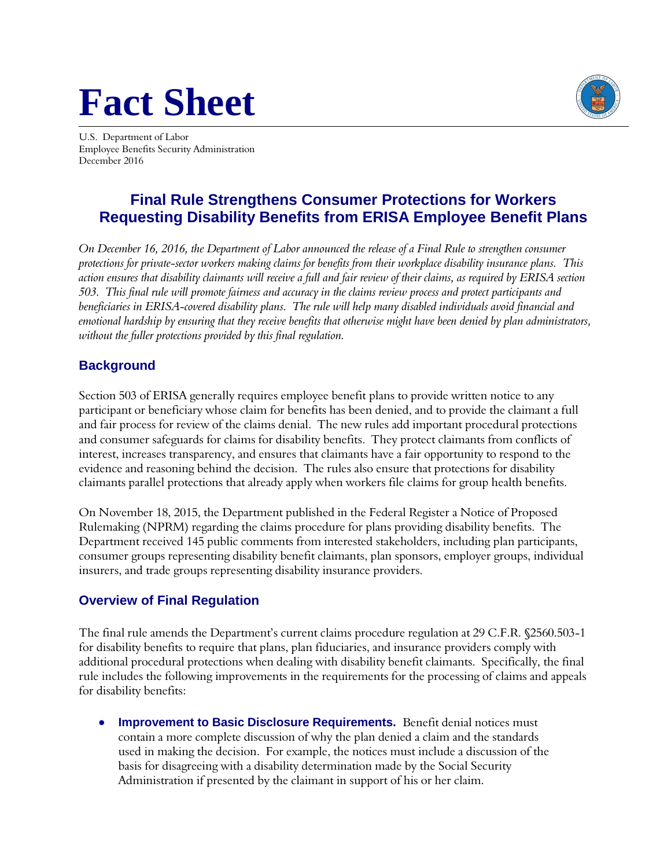# **Fact Sheet**



U.S. Department of Labor Employee Benefits Security Administration December 2016

## **Final Rule Strengthens Consumer Protections for Workers Requesting Disability Benefits from ERISA Employee Benefit Plans**

*On December 16, 2016, the Department of Labor announced the release of a Final Rule to strengthen consumer protections for private-sector workers making claims for benefits from their workplace disability insurance plans. This action ensures that disability claimants will receive a full and fair review of their claims, as required by ERISA section 503. This final rule will promote fairness and accuracy in the claims review process and protect participants and beneficiaries in ERISA-covered disability plans. The rule will help many disabled individuals avoid financial and emotional hardship by ensuring that they receive benefits that otherwise might have been denied by plan administrators, without the fuller protections provided by this final regulation.* 

#### **Background**

Section 503 of ERISA generally requires employee benefit plans to provide written notice to any participant or beneficiary whose claim for benefits has been denied, and to provide the claimant a full and fair process for review of the claims denial. The new rules add important procedural protections and consumer safeguards for claims for disability benefits. They protect claimants from conflicts of interest, increases transparency, and ensures that claimants have a fair opportunity to respond to the evidence and reasoning behind the decision. The rules also ensure that protections for disability claimants parallel protections that already apply when workers file claims for group health benefits.

On November 18, 2015, the Department published in the Federal Register a Notice of Proposed Rulemaking (NPRM) regarding the claims procedure for plans providing disability benefits. The Department received 145 public comments from interested stakeholders, including plan participants, consumer groups representing disability benefit claimants, plan sponsors, employer groups, individual insurers, and trade groups representing disability insurance providers.

### **Overview of Final Regulation**

The final rule amends the Department's current claims procedure regulation at 29 C.F.R. §2560.503-1 for disability benefits to require that plans, plan fiduciaries, and insurance providers comply with additional procedural protections when dealing with disability benefit claimants. Specifically, the final rule includes the following improvements in the requirements for the processing of claims and appeals for disability benefits:

 **Improvement to Basic Disclosure Requirements.** Benefit denial notices must contain a more complete discussion of why the plan denied a claim and the standards used in making the decision. For example, the notices must include a discussion of the basis for disagreeing with a disability determination made by the Social Security Administration if presented by the claimant in support of his or her claim.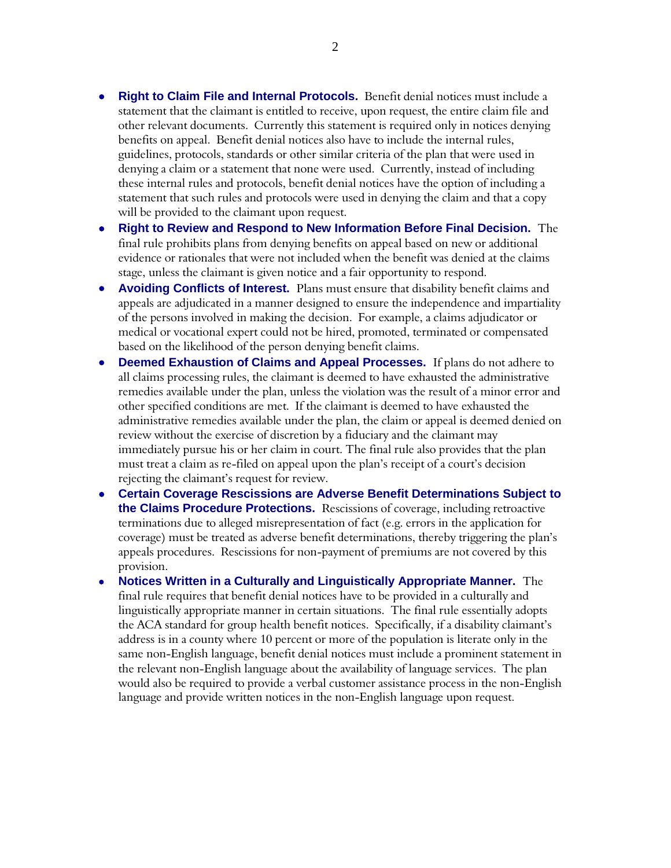- **Right to Claim File and Internal Protocols.** Benefit denial notices must include a statement that the claimant is entitled to receive, upon request, the entire claim file and other relevant documents. Currently this statement is required only in notices denying benefits on appeal. Benefit denial notices also have to include the internal rules, guidelines, protocols, standards or other similar criteria of the plan that were used in denying a claim or a statement that none were used. Currently, instead of including these internal rules and protocols, benefit denial notices have the option of including a statement that such rules and protocols were used in denying the claim and that a copy will be provided to the claimant upon request.
- **Right to Review and Respond to New Information Before Final Decision.** The final rule prohibits plans from denying benefits on appeal based on new or additional evidence or rationales that were not included when the benefit was denied at the claims stage, unless the claimant is given notice and a fair opportunity to respond.
- **Avoiding Conflicts of Interest.** Plans must ensure that disability benefit claims and appeals are adjudicated in a manner designed to ensure the independence and impartiality of the persons involved in making the decision. For example, a claims adjudicator or medical or vocational expert could not be hired, promoted, terminated or compensated based on the likelihood of the person denying benefit claims.
- **Deemed Exhaustion of Claims and Appeal Processes.** If plans do not adhere to all claims processing rules, the claimant is deemed to have exhausted the administrative remedies available under the plan, unless the violation was the result of a minor error and other specified conditions are met. If the claimant is deemed to have exhausted the administrative remedies available under the plan, the claim or appeal is deemed denied on review without the exercise of discretion by a fiduciary and the claimant may immediately pursue his or her claim in court. The final rule also provides that the plan must treat a claim as re-filed on appeal upon the plan's receipt of a court's decision rejecting the claimant's request for review.
- **Certain Coverage Rescissions are Adverse Benefit Determinations Subject to the Claims Procedure Protections.** Rescissions of coverage, including retroactive terminations due to alleged misrepresentation of fact (e.g. errors in the application for coverage) must be treated as adverse benefit determinations, thereby triggering the plan's appeals procedures. Rescissions for non-payment of premiums are not covered by this provision.
- **Notices Written in a Culturally and Linguistically Appropriate Manner.** The final rule requires that benefit denial notices have to be provided in a culturally and linguistically appropriate manner in certain situations. The final rule essentially adopts the ACA standard for group health benefit notices. Specifically, if a disability claimant's address is in a county where 10 percent or more of the population is literate only in the same non-English language, benefit denial notices must include a prominent statement in the relevant non-English language about the availability of language services. The plan would also be required to provide a verbal customer assistance process in the non-English language and provide written notices in the non-English language upon request.